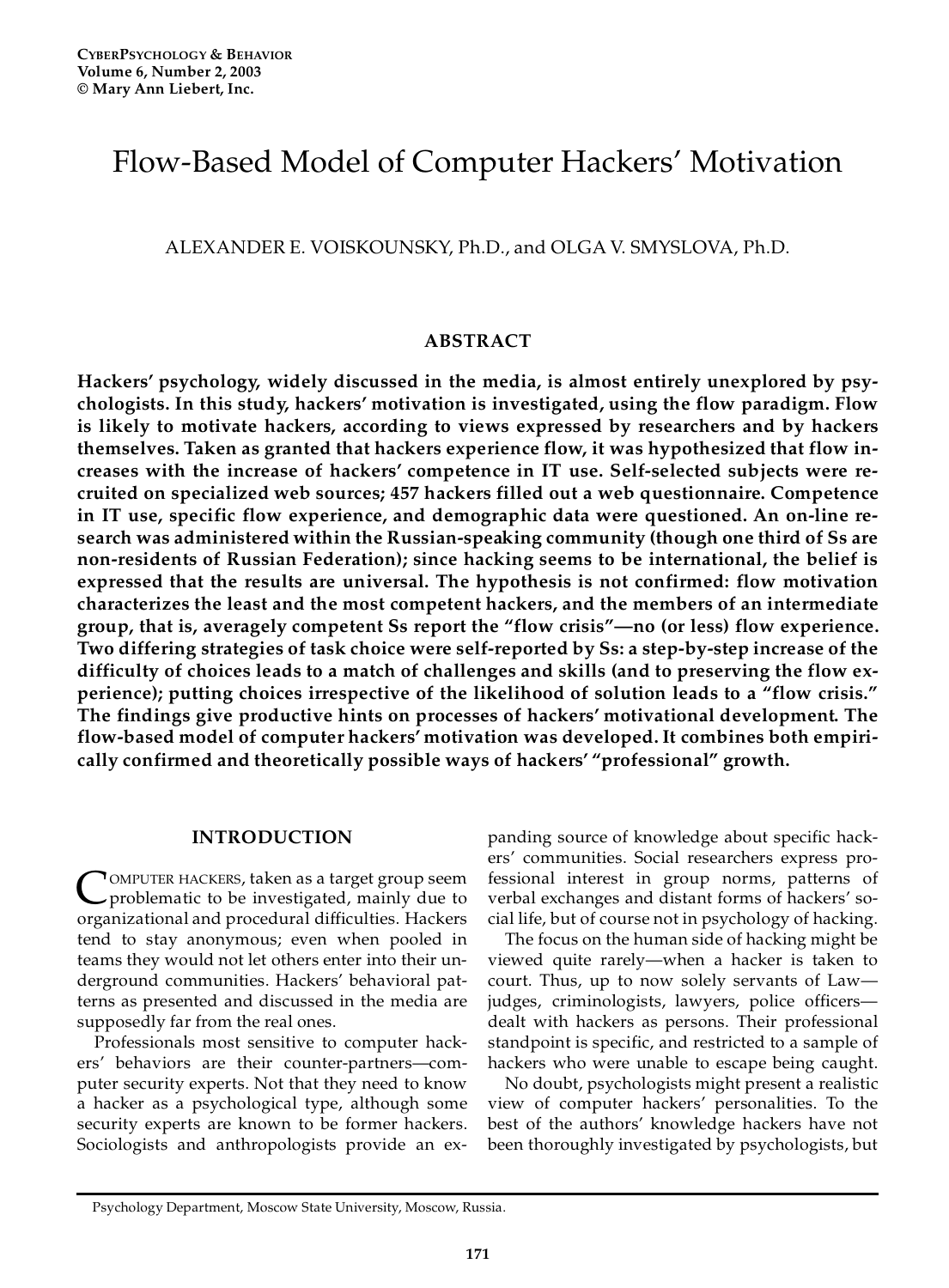# Flow-Based Model of Computer Hackers' Motivation

ALEXANDER E. VOISKOUNSKY, Ph.D., and OLGA V. SMYSLOVA, Ph.D.

# **ABSTRACT**

**Hackers' psychology, widely discussed in the media, is almost entirely unexplored by psychologists. In this study, hackers' motivation is investigated, using the flow paradigm. Flow is likely to motivate hackers, according to views expressed by researchers and by hackers themselves. Taken as granted that hackers experience flow, it was hypothesized that flow increases with the increase of hackers' competence in IT use. Self-selected subjects were recruited on specialized web sources; 457 hackers filled out a web questionnaire. Competence in IT use, specific flow experience, and demographic data were questioned. An on-line research was administered within the Russian-speaking community (though one third of Ss are non-residents of Russian Federation); since hacking seems to be international, the belief is expressed that the results are universal. The hypothesis is not confirmed: flow motivation characterizes the least and the most competent hackers, and the members of an intermediate group, that is, averagely competent Ss report the "flow crisis"—no (or less) flow experience. Two differing strategies of task choice were self-reported by Ss: a step-by-step increase of the difficulty of choices leads to a match of challenges and skills (and to preserving the flow experience); putting choices irrespective of the likelihood of solution leads to a "flow crisis." The findings give productive hints on processes of hackers' motivational development. The flow-based model of computer hackers' motivation was developed. It combines both empirically confirmed and theoretically possible ways of hackers' "professional" growth.**

# **INTRODUCTION**

COMPUTER HACKERS, taken as a target group seem<br>problematic to be investigated, mainly due to v OMPUTER HACKERS, taken as a target group seem organizational and procedural difficulties. Hackers tend to stay anonymous; even when pooled in teams they would not let others enter into their underground communities. Hackers' behavioral patterns as presented and discussed in the media are supposedly far from the real ones.

Professionals most sensitive to computer hackers' behaviors are their counter-partners—computer security experts. Not that they need to know a hacker as a psychological type, although some security experts are known to be former hackers. Sociologists and anthropologists provide an expanding source of knowledge about specific hackers' communities. Social researchers express professional interest in group norms, patterns of verbal exchanges and distant forms of hackers' social life, but of course not in psychology of hacking.

The focus on the human side of hacking might be viewed quite rarely—when a hacker is taken to court. Thus, up to now solely servants of Law judges, criminologists, lawyers, police officers dealt with hackers as persons. Their professional standpoint is specific, and restricted to a sample of hackers who were unable to escape being caught.

No doubt, psychologists might present a realistic view of computer hackers' personalities. To the best of the authors' knowledge hackers have not been thoroughly investigated by psychologists, but

Psychology Department, Moscow State University, Moscow, Russia.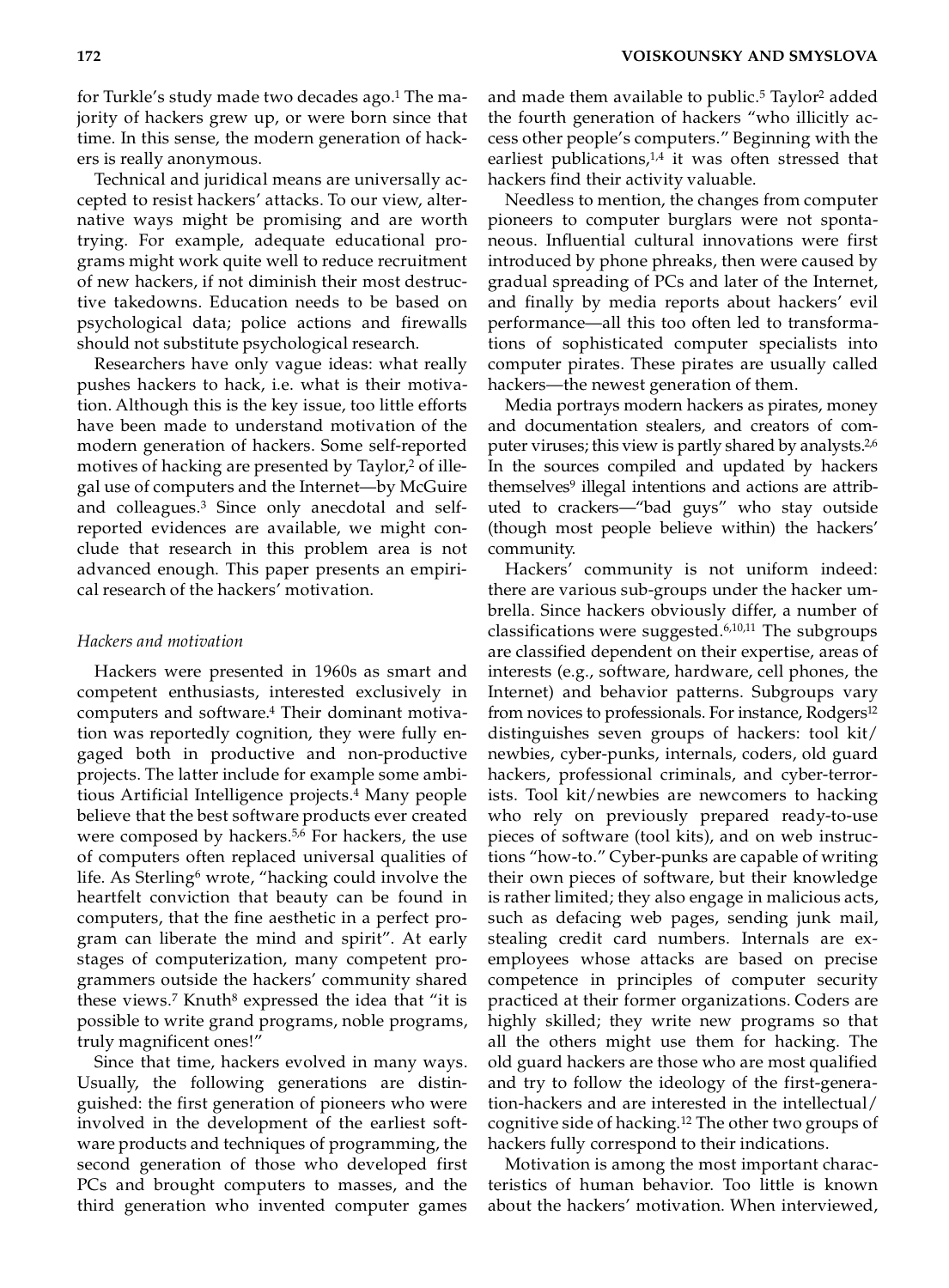for Turkle's study made two decades ago.<sup>1</sup> The majority of hackers grew up, or were born since that time. In this sense, the modern generation of hackers is really anonymous.

Technical and juridical means are universally accepted to resist hackers' attacks. To our view, alternative ways might be promising and are worth trying. For example, adequate educational programs might work quite well to reduce recruitment of new hackers, if not diminish their most destructive takedowns. Education needs to be based on psychological data; police actions and firewalls should not substitute psychological research.

Researchers have only vague ideas: what really pushes hackers to hack, i.e. what is their motivation. Although this is the key issue, too little efforts have been made to understand motivation of the modern generation of hackers. Some self-reported motives of hacking are presented by Taylor,<sup>2</sup> of illegal use of computers and the Internet—by McGuire and colleagues.<sup>3</sup> Since only anecdotal and selfreported evidences are available, we might conclude that research in this problem area is not advanced enough. This paper presents an empirical research of the hackers' motivation.

#### *Hackers and motivation*

Hackers were presented in 1960s as smart and competent enthusiasts, interested exclusively in computers and software.<sup>4</sup> Their dominant motivation was reportedly cognition, they were fully engaged both in productive and non-productive projects. The latter include for example some ambitious Artificial Intelligence projects.<sup>4</sup> Many people believe that the best software products ever created were composed by hackers.<sup>5,6</sup> For hackers, the use of computers often replaced universal qualities of life. As Sterling<sup>6</sup> wrote, "hacking could involve the heartfelt conviction that beauty can be found in computers, that the fine aesthetic in a perfect program can liberate the mind and spirit". At early stages of computerization, many competent programmers outside the hackers' community shared these views. $7$  Knuth<sup>8</sup> expressed the idea that "it is possible to write grand programs, noble programs, truly magnificent ones!"

Since that time, hackers evolved in many ways. Usually, the following generations are distinguished: the first generation of pioneers who were involved in the development of the earliest software products and techniques of programming, the second generation of those who developed first PCs and brought computers to masses, and the third generation who invented computer games and made them available to public.<sup>5</sup> Taylor<sup>2</sup> added the fourth generation of hackers "who illicitly access other people's computers." Beginning with the earliest publications, $1/4$  it was often stressed that hackers find their activity valuable.

Needless to mention, the changes from computer pioneers to computer burglars were not spontaneous. Influential cultural innovations were first introduced by phone phreaks, then were caused by gradual spreading of PCs and later of the Internet, and finally by media reports about hackers' evil performance—all this too often led to transformations of sophisticated computer specialists into computer pirates. These pirates are usually called hackers—the newest generation of them.

Media portrays modern hackers as pirates, money and documentation stealers, and creators of computer viruses; this view is partly shared by analysts.2,6 In the sources compiled and updated by hackers themselves<sup>9</sup> illegal intentions and actions are attributed to crackers—"bad guys" who stay outside (though most people believe within) the hackers' community.

Hackers' community is not uniform indeed: there are various sub-groups under the hacker umbrella. Since hackers obviously differ, a number of classifications were suggested.6,10,11 The subgroups are classified dependent on their expertise, areas of interests (e.g., software, hardware, cell phones, the Internet) and behavior patterns. Subgroups vary from novices to professionals. For instance, Rodgers<sup>12</sup> distinguishes seven groups of hackers: tool kit/ newbies, cyber-punks, internals, coders, old guard hackers, professional criminals, and cyber-terrorists. Tool kit/newbies are newcomers to hacking who rely on previously prepared ready-to-use pieces of software (tool kits), and on web instructions "how-to." Cyber-punks are capable of writing their own pieces of software, but their knowledge is rather limited; they also engage in malicious acts, such as defacing web pages, sending junk mail, stealing credit card numbers. Internals are exemployees whose attacks are based on precise competence in principles of computer security practiced at their former organizations. Coders are highly skilled; they write new programs so that all the others might use them for hacking. The old guard hackers are those who are most qualified and try to follow the ideology of the first-generation-hackers and are interested in the intellectual/ cognitive side of hacking.<sup>12</sup> The other two groups of hackers fully correspond to their indications.

Motivation is among the most important characteristics of human behavior. Too little is known about the hackers' motivation. When interviewed,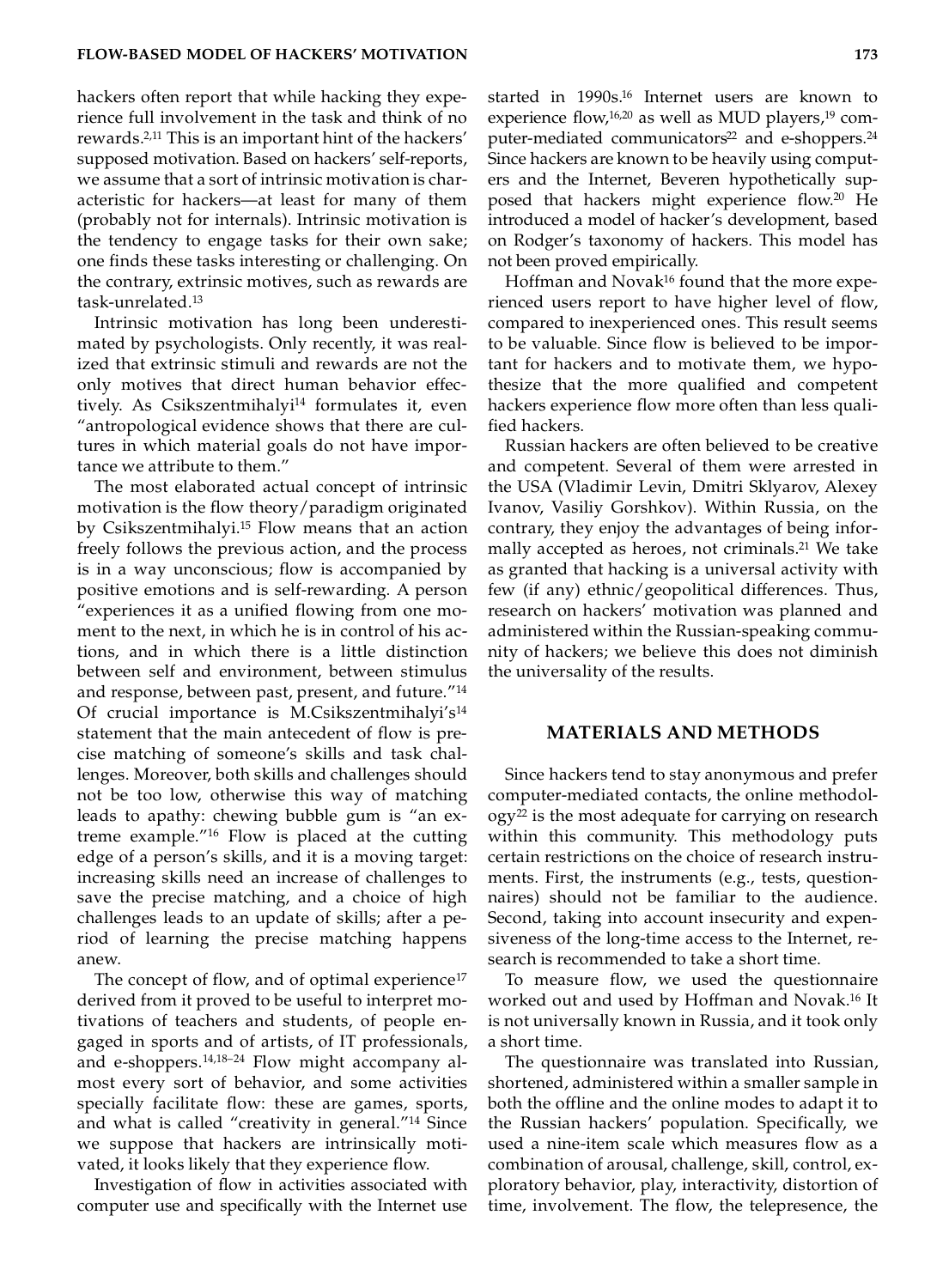hackers often report that while hacking they experience full involvement in the task and think of no rewards.2,11 This is an important hint of the hackers' supposed motivation. Based on hackers' self-reports, we assume that a sort of intrinsic motivation is characteristic for hackers—at least for many of them (probably not for internals). Intrinsic motivation is the tendency to engage tasks for their own sake; one finds these tasks interesting or challenging. On the contrary, extrinsic motives, such as rewards are task-unrelated.<sup>13</sup>

Intrinsic motivation has long been underestimated by psychologists. Only recently, it was realized that extrinsic stimuli and rewards are not the only motives that direct human behavior effectively. As Csikszentmihalyi<sup>14</sup> formulates it, even "antropological evidence shows that there are cultures in which material goals do not have importance we attribute to them."

The most elaborated actual concept of intrinsic motivation is the flow theory/paradigm originated by Csikszentmihalyi.<sup>15</sup> Flow means that an action freely follows the previous action, and the process is in a way unconscious; flow is accompanied by positive emotions and is self-rewarding. A person "experiences it as a unified flowing from one moment to the next, in which he is in control of his actions, and in which there is a little distinction between self and environment, between stimulus and response, between past, present, and future."<sup>14</sup> Of crucial importance is M.Csikszentmihalyi's 14 statement that the main antecedent of flow is precise matching of someone's skills and task challenges. Moreover, both skills and challenges should not be too low, otherwise this way of matching leads to apathy: chewing bubble gum is "an extreme example."<sup>16</sup> Flow is placed at the cutting edge of a person's skills, and it is a moving target: increasing skills need an increase of challenges to save the precise matching, and a choice of high challenges leads to an update of skills; after a period of learning the precise matching happens anew.

The concept of flow, and of optimal experience<sup>17</sup> derived from it proved to be useful to interpret motivations of teachers and students, of people engaged in sports and of artists, of IT professionals, and e-shoppers.14,18–24 Flow might accompany almost every sort of behavior, and some activities specially facilitate flow: these are games, sports, and what is called "creativity in general."<sup>14</sup> Since we suppose that hackers are intrinsically motivated, it looks likely that they experience flow.

Investigation of flow in activities associated with computer use and specifically with the Internet use started in 1990s.<sup>16</sup> Internet users are known to experience flow,<sup>16,20</sup> as well as MUD players,<sup>19</sup> computer-mediated communicators<sup>22</sup> and e-shoppers.<sup>24</sup> Since hackers are known to be heavily using computers and the Internet, Beveren hypothetically supposed that hackers might experience flow.<sup>20</sup> He introduced a model of hacker's development, based on Rodger's taxonomy of hackers. This model has not been proved empirically.

Hoffman and Novak<sup>16</sup> found that the more experienced users report to have higher level of flow, compared to inexperienced ones. This result seems to be valuable. Since flow is believed to be important for hackers and to motivate them, we hypothesize that the more qualified and competent hackers experience flow more often than less qualified hackers.

Russian hackers are often believed to be creative and competent. Several of them were arrested in the USA (Vladimir Levin, Dmitri Sklyarov, Alexey Ivanov, Vasiliy Gorshkov). Within Russia, on the contrary, they enjoy the advantages of being informally accepted as heroes, not criminals.<sup>21</sup> We take as granted that hacking is a universal activity with few (if any) ethnic/geopolitical differences. Thus, research on hackers' motivation was planned and administered within the Russian-speaking community of hackers; we believe this does not diminish the universality of the results.

# **MATERIALS AND METHODS**

Since hackers tend to stay anonymous and prefer computer-mediated contacts, the online methodology<sup>22</sup> is the most adequate for carrying on research within this community. This methodology puts certain restrictions on the choice of research instruments. First, the instruments (e.g., tests, questionnaires) should not be familiar to the audience. Second, taking into account insecurity and expensiveness of the long-time access to the Internet, research is recommended to take a short time.

To measure flow, we used the questionnaire worked out and used by Hoffman and Novak.<sup>16</sup> It is not universally known in Russia, and it took only a short time.

The questionnaire was translated into Russian, shortened, administered within a smaller sample in both the offline and the online modes to adapt it to the Russian hackers' population. Specifically, we used a nine-item scale which measures flow as a combination of arousal, challenge, skill, control, exploratory behavior, play, interactivity, distortion of time, involvement. The flow, the telepresence, the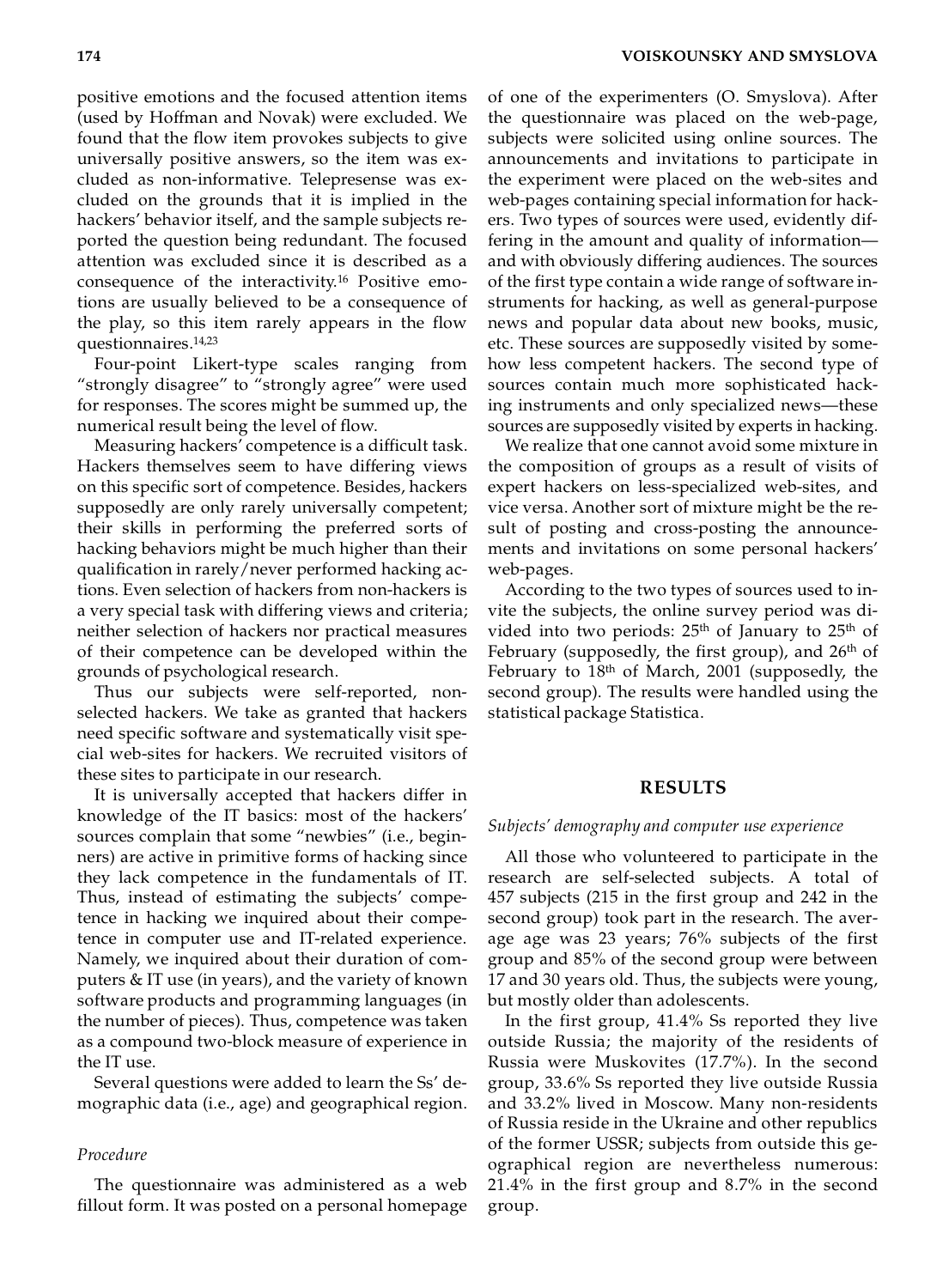positive emotions and the focused attention items (used by Hoffman and Novak) were excluded. We found that the flow item provokes subjects to give universally positive answers, so the item was excluded as non-informative. Telepresense was excluded on the grounds that it is implied in the hackers' behavior itself, and the sample subjects reported the question being redundant. The focused attention was excluded since it is described as a consequence of the interactivity.<sup>16</sup> Positive emotions are usually believed to be a consequence of the play, so this item rarely appears in the flow questionnaires.14,23

Four-point Likert-type scales ranging from "strongly disagree" to "strongly agree" were used for responses. The scores might be summed up, the numerical result being the level of flow.

Measuring hackers' competence is a difficult task. Hackers themselves seem to have differing views on this specific sort of competence. Besides, hackers supposedly are only rarely universally competent; their skills in performing the preferred sorts of hacking behaviors might be much higher than their qualification in rarely/never performed hacking actions. Even selection of hackers from non-hackers is a very special task with differing views and criteria; neither selection of hackers nor practical measures of their competence can be developed within the grounds of psychological research.

Thus our subjects were self-reported, nonselected hackers. We take as granted that hackers need specific software and systematically visit special web-sites for hackers. We recruited visitors of these sites to participate in our research.

It is universally accepted that hackers differ in knowledge of the IT basics: most of the hackers' sources complain that some "newbies" (i.e., beginners) are active in primitive forms of hacking since they lack competence in the fundamentals of IT. Thus, instead of estimating the subjects' competence in hacking we inquired about their competence in computer use and IT-related experience. Namely, we inquired about their duration of computers & IT use (in years), and the variety of known software products and programming languages (in the number of pieces). Thus, competence was taken as a compound two-block measure of experience in the IT use.

Several questions were added to learn the Ss' demographic data (i.e., age) and geographical region.

#### *Procedure*

The questionnaire was administered as a web fillout form. It was posted on a personal homepage of one of the experimenters (O. Smyslova). After the questionnaire was placed on the web-page, subjects were solicited using online sources. The announcements and invitations to participate in the experiment were placed on the web-sites and web-pages containing special information for hackers. Two types of sources were used, evidently differing in the amount and quality of information and with obviously differing audiences. The sources of the first type contain a wide range of software instruments for hacking, as well as general-purpose news and popular data about new books, music, etc. These sources are supposedly visited by somehow less competent hackers. The second type of sources contain much more sophisticated hacking instruments and only specialized news—these sources are supposedly visited by experts in hacking.

We realize that one cannot avoid some mixture in the composition of groups as a result of visits of expert hackers on less-specialized web-sites, and vice versa. Another sort of mixture might be the result of posting and cross-posting the announcements and invitations on some personal hackers' web-pages.

According to the two types of sources used to invite the subjects, the online survey period was divided into two periods: 25<sup>th</sup> of January to 25<sup>th</sup> of February (supposedly, the first group), and 26<sup>th</sup> of February to 18th of March, 2001 (supposedly, the second group). The results were handled using the statistical package Statistica.

## **RESULTS**

#### *Subjects' demography and computer use experience*

All those who volunteered to participate in the research are self-selected subjects. A total of 457 subjects (215 in the first group and 242 in the second group) took part in the research. The average age was 23 years; 76% subjects of the first group and 85% of the second group were between 17 and 30 years old. Thus, the subjects were young, but mostly older than adolescents.

In the first group, 41.4% Ss reported they live outside Russia; the majority of the residents of Russia were Muskovites (17.7%). In the second group, 33.6% Ss reported they live outside Russia and 33.2% lived in Moscow. Many non-residents of Russia reside in the Ukraine and other republics of the former USSR; subjects from outside this geographical region are nevertheless numerous: 21.4% in the first group and 8.7% in the second group.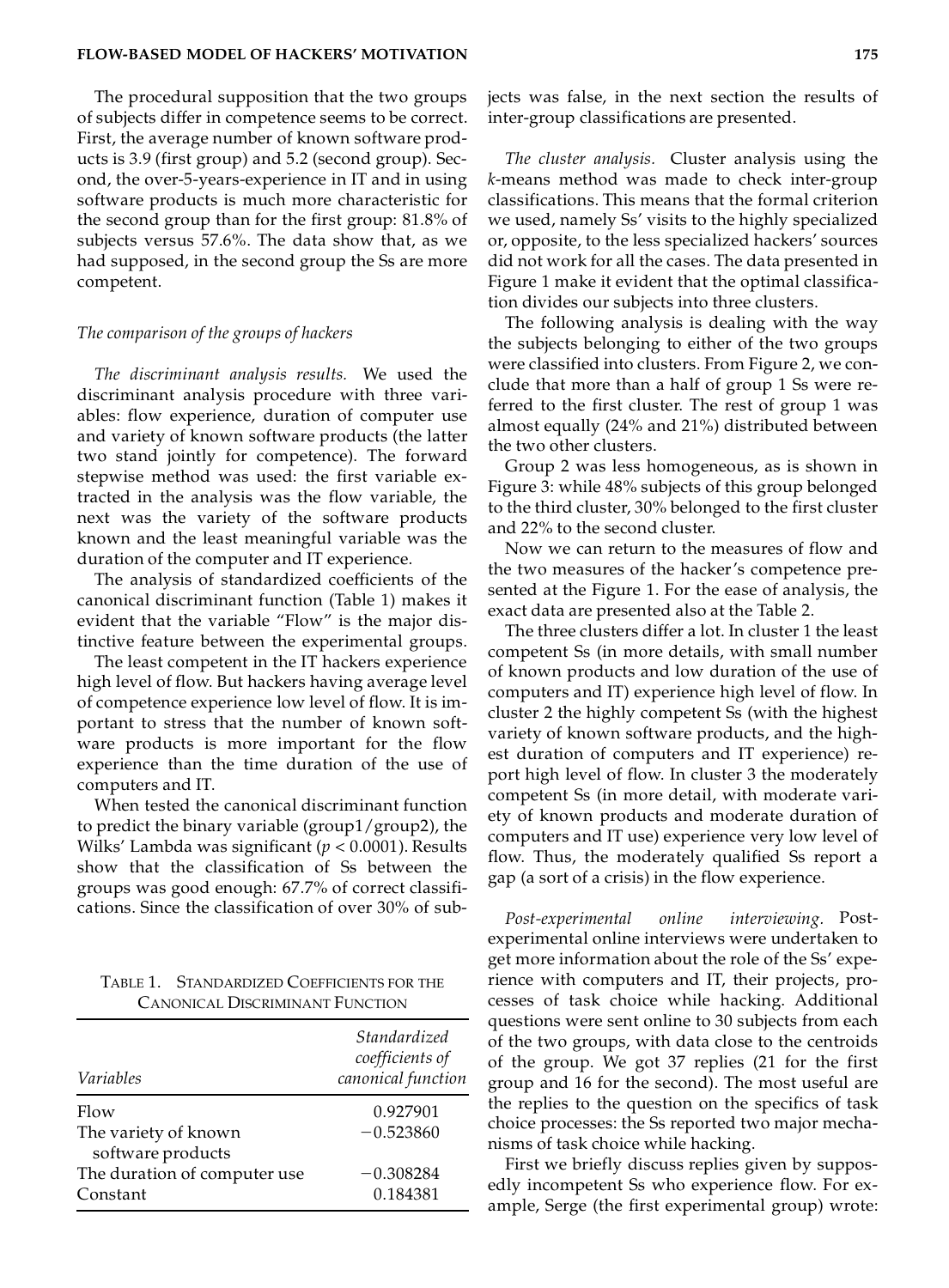#### **FLOW-BASED MODEL OF HACKERS' MOTIVATION 175**

The procedural supposition that the two groups of subjects differ in competence seems to be correct. First, the average number of known software products is 3.9 (first group) and 5.2 (second group). Second, the over-5-years-experience in IT and in using software products is much more characteristic for the second group than for the first group: 81.8% of subjects versus 57.6%. The data show that, as we had supposed, in the second group the Ss are more competent.

#### *The comparison of the groups of hackers*

*The discriminant analysis results.* We used the discriminant analysis procedure with three variables: flow experience, duration of computer use and variety of known software products (the latter two stand jointly for competence). The forward stepwise method was used: the first variable extracted in the analysis was the flow variable, the next was the variety of the software products known and the least meaningful variable was the duration of the computer and IT experience.

The analysis of standardized coefficients of the canonical discriminant function (Table 1) makes it evident that the variable "Flow" is the major distinctive feature between the experimental groups.

The least competent in the IT hackers experience high level of flow. But hackers having average level of competence experience low level of flow. It is important to stress that the number of known software products is more important for the flow experience than the time duration of the use of computers and IT.

When tested the canonical discriminant function to predict the binary variable (group1/group2), the Wilks' Lambda was significant (*p* < 0.0001). Results show that the classification of Ss between the groups was good enough: 67.7% of correct classifications. Since the classification of over 30% of sub-

TABLE 1. STANDARDIZED COEFFICIENTS FOR THE CANONICAL DISCRIMINANT FUNCTION

| Variables                                 | Standardized<br>coefficients of<br>canonical function |
|-------------------------------------------|-------------------------------------------------------|
| Flow                                      | 0.927901                                              |
| The variety of known<br>software products | $-0.523860$                                           |
| The duration of computer use              | $-0.308284$                                           |
| Constant                                  | 0.184381                                              |

jects was false, in the next section the results of inter-group classifications are presented.

*The cluster analysis.* Cluster analysis using the *k*-means method was made to check inter-group classifications. This means that the formal criterion we used, namely Ss' visits to the highly specialized or, opposite, to the less specialized hackers' sources did not work for all the cases. The data presented in Figure 1 make it evident that the optimal classification divides our subjects into three clusters.

The following analysis is dealing with the way the subjects belonging to either of the two groups were classified into clusters. From Figure 2, we conclude that more than a half of group 1 Ss were referred to the first cluster. The rest of group 1 was almost equally (24% and 21%) distributed between the two other clusters.

Group 2 was less homogeneous, as is shown in Figure 3: while 48% subjects of this group belonged to the third cluster, 30% belonged to the first cluster and 22% to the second cluster.

Now we can return to the measures of flow and the two measures of the hacker's competence presented at the Figure 1. For the ease of analysis, the exact data are presented also at the Table 2.

The three clusters differ a lot. In cluster 1 the least competent Ss (in more details, with small number of known products and low duration of the use of computers and IT) experience high level of flow. In cluster 2 the highly competent Ss (with the highest variety of known software products, and the highest duration of computers and IT experience) report high level of flow. In cluster 3 the moderately competent Ss (in more detail, with moderate variety of known products and moderate duration of computers and IT use) experience very low level of flow. Thus, the moderately qualified Ss report a gap (a sort of a crisis) in the flow experience.

*Post-experimental online interviewing.* Postexperimental online interviews were undertaken to get more information about the role of the Ss' experience with computers and IT, their projects, processes of task choice while hacking. Additional questions were sent online to 30 subjects from each of the two groups, with data close to the centroids of the group. We got 37 replies (21 for the first group and 16 for the second). The most useful are the replies to the question on the specifics of task choice processes: the Ss reported two major mechanisms of task choice while hacking.

First we briefly discuss replies given by supposedly incompetent Ss who experience flow. For example, Serge (the first experimental group) wrote: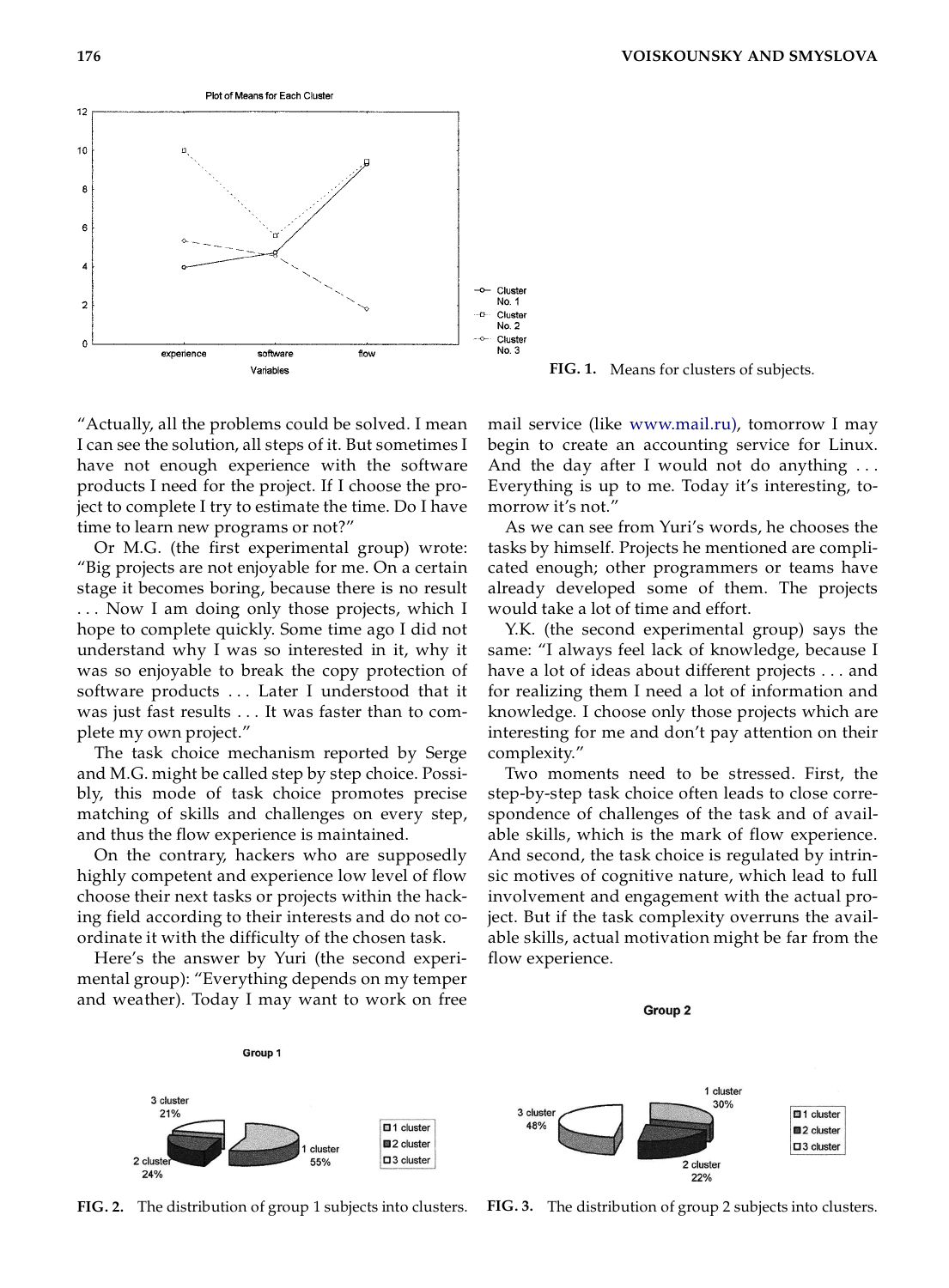

**FIG. 1.** Means for clusters of subjects.

"Actually, all the problems could be solved. I mean I can see the solution, all steps of it. But sometimes I have not enough experience with the software products I need for the project. If I choose the project to complete I try to estimate the time. Do I have time to learn new programs or not?"

Or M.G. (the first experimental group) wrote: "Big projects are not enjoyable for me. On a certain stage it becomes boring, because there is no result . . . Now I am doing only those projects, which I hope to complete quickly. Some time ago I did not understand why I was so interested in it, why it was so enjoyable to break the copy protection of software products . . . Later I understood that it was just fast results . . . It was faster than to complete my own project."

The task choice mechanism reported by Serge and M.G. might be called step by step choice. Possibly, this mode of task choice promotes precise matching of skills and challenges on every step, and thus the flow experience is maintained.

On the contrary, hackers who are supposedly highly competent and experience low level of flow choose their next tasks or projects within the hacking field according to their interests and do not coordinate it with the difficulty of the chosen task.

Here's the answer by Yuri (the second experimental group): "Everything depends on my temper and weather). Today I may want to work on free

mail service (like [www.mail.ru](http://www.mail.ru)), tomorrow I may begin to create an accounting service for Linux. And the day after I would not do anything  $\dots$ Everything is up to me. Today it's interesting, tomorrow it's not."

As we can see from Yuri's words, he chooses the tasks by himself. Projects he mentioned are complicated enough; other programmers or teams have already developed some of them. The projects would take a lot of time and effort.

Y.K. (the second experimental group) says the same: "I always feel lack of knowledge, because I have a lot of ideas about different projects . . . and for realizing them I need a lot of information and knowledge. I choose only those projects which are interesting for me and don't pay attention on their complexity."

Two moments need to be stressed. First, the step-by-step task choice often leads to close correspondence of challenges of the task and of available skills, which is the mark of flow experience. And second, the task choice is regulated by intrinsic motives of cognitive nature, which lead to full involvement and engagement with the actual project. But if the task complexity overruns the available skills, actual motivation might be far from the flow experience.

Group<sub>2</sub>



**FIG. 2.** The distribution of group 1 subjects into clusters. **FIG. 3.** The distribution of group 2 subjects into clusters.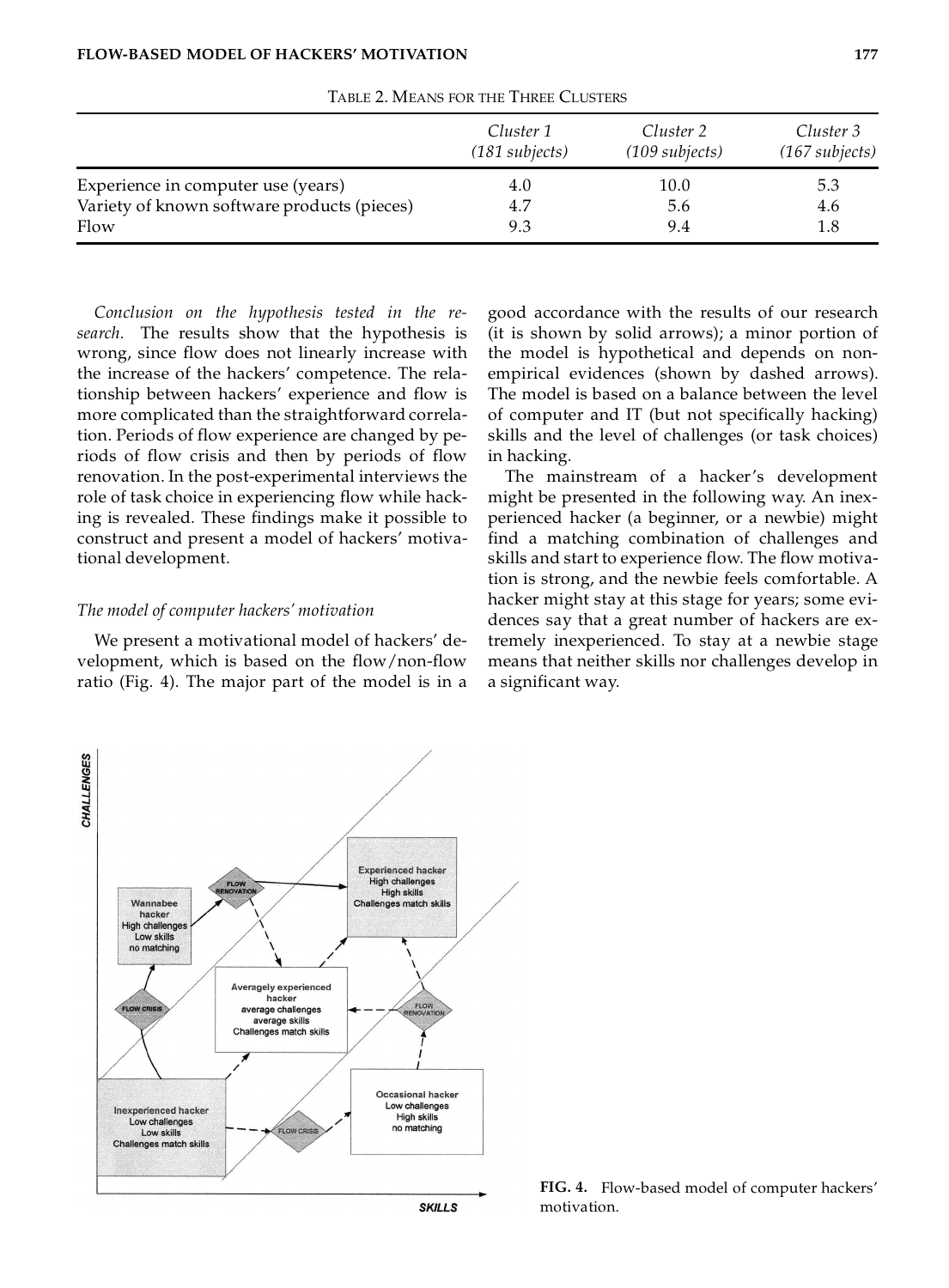|                                             | Cluster 1<br>$(181$ subjects) | Cluster 2<br>$(109$ subjects) | Cluster 3<br>$(167$ subjects) |
|---------------------------------------------|-------------------------------|-------------------------------|-------------------------------|
| Experience in computer use (years)          | 4.0                           | 10.0                          | 5.3                           |
| Variety of known software products (pieces) | 4.7                           | 5.6                           | 4.6                           |
| Flow                                        | 9.3                           | 9.4                           | 1.8                           |

TABLE 2. MEANS FOR THE THREE CLUSTERS

*Conclusion on the hypothesis tested in the research.* The results show that the hypothesis is wrong, since flow does not linearly increase with the increase of the hackers' competence. The relationship between hackers' experience and flow is more complicated than the straightforward correlation. Periods of flow experience are changed by periods of flow crisis and then by periods of flow renovation. In the post-experimental interviews the role of task choice in experiencing flow while hacking is revealed. These findings make it possible to construct and present a model of hackers' motivational development.

#### *The model of computer hackers' motivation*

We present a motivational model of hackers' development, which is based on the flow/non-flow ratio (Fig. 4). The major part of the model is in a good accordance with the results of our research (it is shown by solid arrows); a minor portion of the model is hypothetical and depends on nonempirical evidences (shown by dashed arrows). The model is based on a balance between the level of computer and IT (but not specifically hacking) skills and the level of challenges (or task choices) in hacking.

The mainstream of a hacker's development might be presented in the following way. An inexperienced hacker (a beginner, or a newbie) might find a matching combination of challenges and skills and start to experience flow. The flow motivation is strong, and the newbie feels comfortable. A hacker might stay at this stage for years; some evidences say that a great number of hackers are extremely inexperienced. To stay at a newbie stage means that neither skills nor challenges develop in a significant way.



**FIG. 4.** Flow-based model of computer hackers' motivation.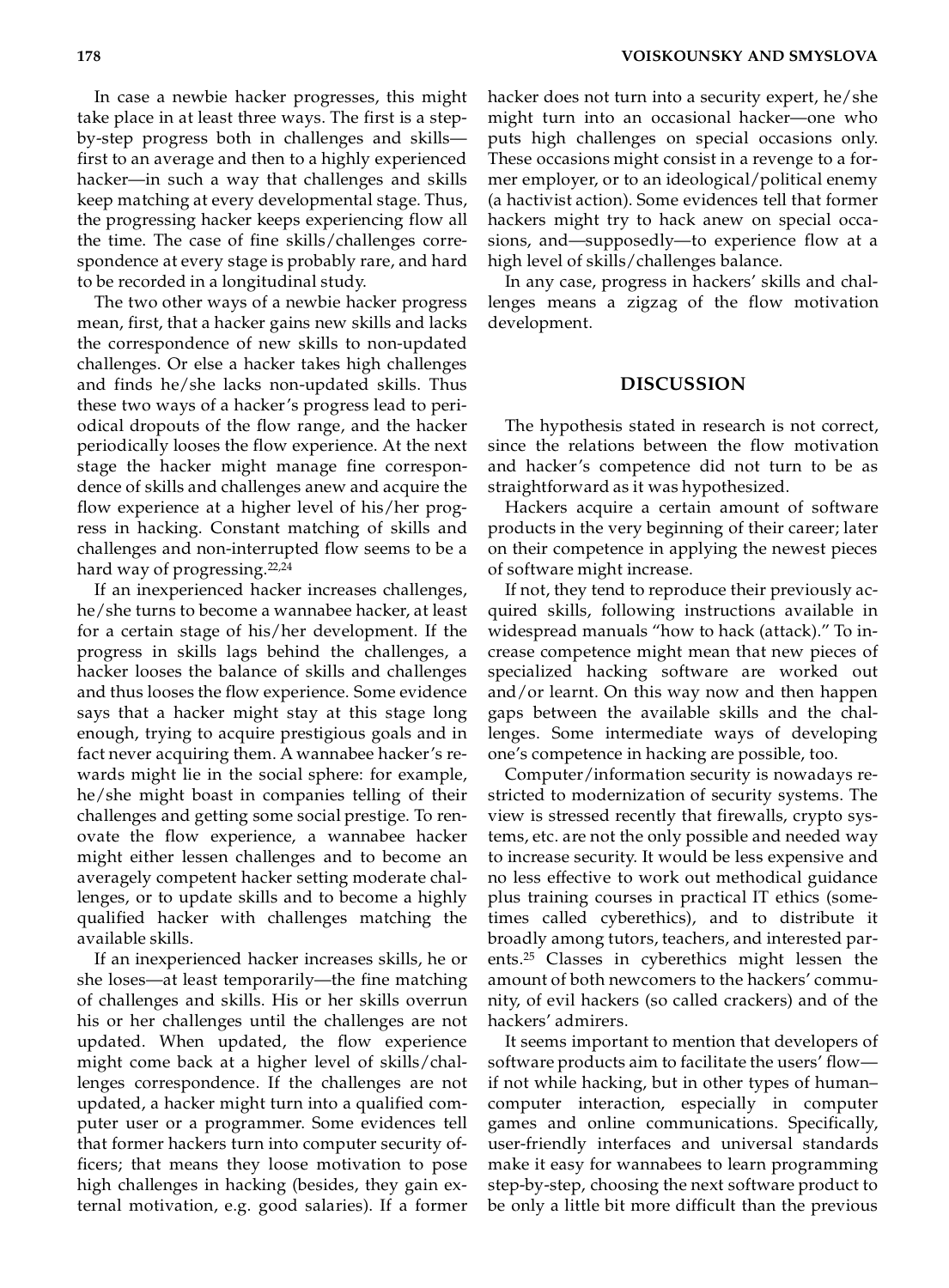In case a newbie hacker progresses, this might take place in at least three ways. The first is a stepby-step progress both in challenges and skills first to an average and then to a highly experienced hacker—in such a way that challenges and skills keep matching at every developmental stage. Thus, the progressing hacker keeps experiencing flow all the time. The case of fine skills/challenges correspondence at every stage is probably rare, and hard to be recorded in a longitudinal study.

The two other ways of a newbie hacker progress mean, first, that a hacker gains new skills and lacks the correspondence of new skills to non-updated challenges. Or else a hacker takes high challenges and finds he/she lacks non-updated skills. Thus these two ways of a hacker's progress lead to periodical dropouts of the flow range, and the hacker periodically looses the flow experience. At the next stage the hacker might manage fine correspondence of skills and challenges anew and acquire the flow experience at a higher level of his/her progress in hacking. Constant matching of skills and challenges and non-interrupted flow seems to be a hard way of progressing.22,24

If an inexperienced hacker increases challenges, he/she turns to become a wannabee hacker, at least for a certain stage of his/her development. If the progress in skills lags behind the challenges, a hacker looses the balance of skills and challenges and thus looses the flow experience. Some evidence says that a hacker might stay at this stage long enough, trying to acquire prestigious goals and in fact never acquiring them. A wannabee hacker's rewards might lie in the social sphere: for example, he/she might boast in companies telling of their challenges and getting some social prestige. To renovate the flow experience, a wannabee hacker might either lessen challenges and to become an averagely competent hacker setting moderate challenges, or to update skills and to become a highly qualified hacker with challenges matching the available skills.

If an inexperienced hacker increases skills, he or she loses—at least temporarily—the fine matching of challenges and skills. His or her skills overrun his or her challenges until the challenges are not updated. When updated, the flow experience might come back at a higher level of skills/challenges correspondence. If the challenges are not updated, a hacker might turn into a qualified computer user or a programmer. Some evidences tell that former hackers turn into computer security officers; that means they loose motivation to pose high challenges in hacking (besides, they gain external motivation, e.g. good salaries). If a former hacker does not turn into a security expert, he/she might turn into an occasional hacker—one who puts high challenges on special occasions only. These occasions might consist in a revenge to a former employer, or to an ideological/political enemy (a hactivist action). Some evidences tell that former hackers might try to hack anew on special occasions, and—supposedly—to experience flow at a high level of skills/challenges balance.

In any case, progress in hackers' skills and challenges means a zigzag of the flow motivation development.

# **DISCUSSION**

The hypothesis stated in research is not correct, since the relations between the flow motivation and hacker's competence did not turn to be as straightforward as it was hypothesized.

Hackers acquire a certain amount of software products in the very beginning of their career; later on their competence in applying the newest pieces of software might increase.

If not, they tend to reproduce their previously acquired skills, following instructions available in widespread manuals "how to hack (attack)." To increase competence might mean that new pieces of specialized hacking software are worked out and/or learnt. On this way now and then happen gaps between the available skills and the challenges. Some intermediate ways of developing one's competence in hacking are possible, too.

Computer/information security is nowadays restricted to modernization of security systems. The view is stressed recently that firewalls, crypto systems, etc. are not the only possible and needed way to increase security. It would be less expensive and no less effective to work out methodical guidance plus training courses in practical IT ethics (sometimes called cyberethics), and to distribute it broadly among tutors, teachers, and interested parents.<sup>25</sup> Classes in cyberethics might lessen the amount of both newcomers to the hackers' community, of evil hackers (so called crackers) and of the hackers' admirers.

It seems important to mention that developers of software products aim to facilitate the users' flow if not while hacking, but in other types of human– computer interaction, especially in computer games and online communications. Specifically, user-friendly interfaces and universal standards make it easy for wannabees to learn programming step-by-step, choosing the next software product to be only a little bit more difficult than the previous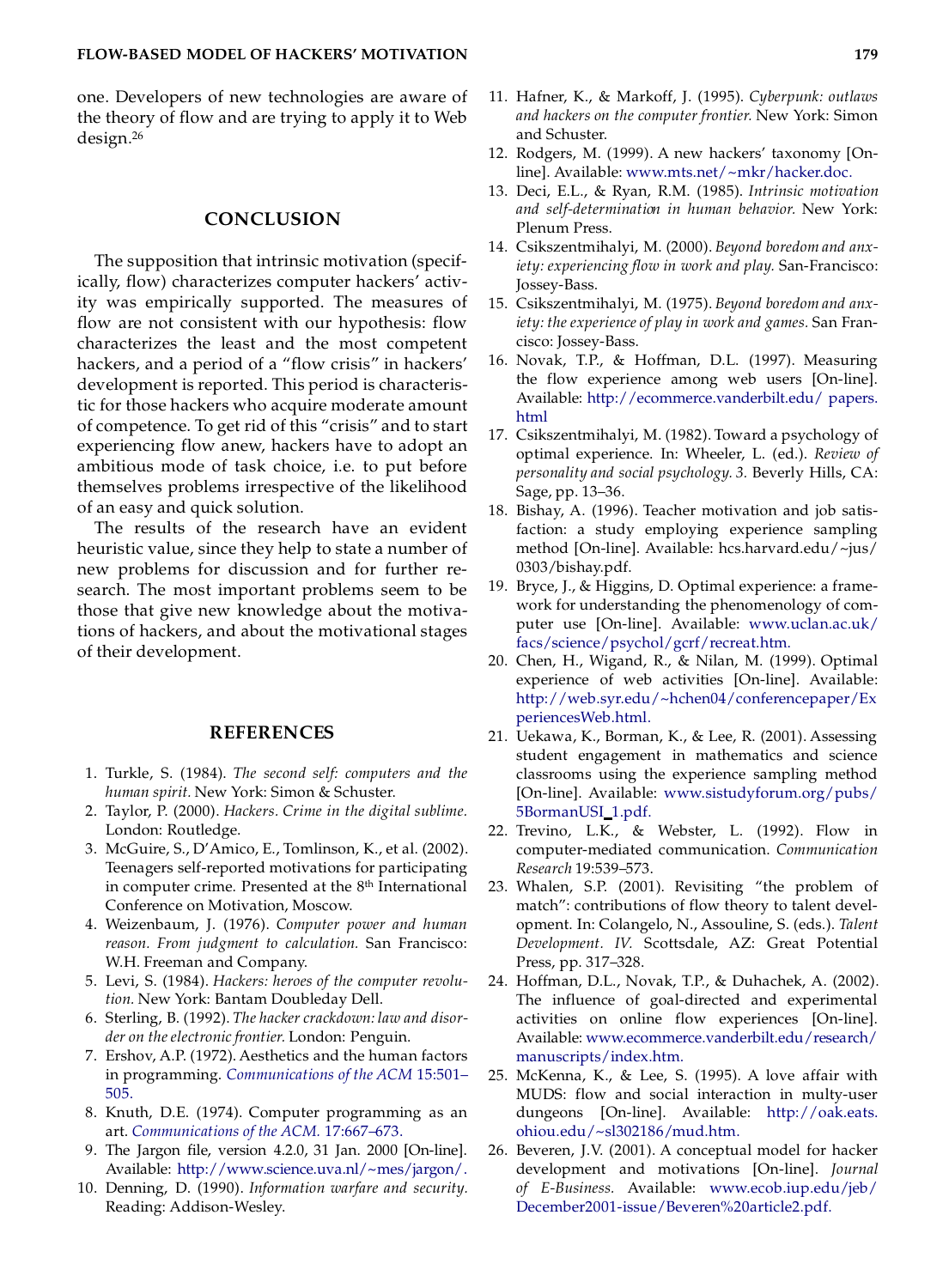one. Developers of new technologies are aware of the theory of flow and are trying to apply it to Web design.<sup>26</sup>

# **CONCLUSION**

The supposition that intrinsic motivation (specifically, flow) characterizes computer hackers' activity was empirically supported. The measures of flow are not consistent with our hypothesis: flow characterizes the least and the most competent hackers, and a period of a "flow crisis" in hackers' development is reported. This period is characteristic for those hackers who acquire moderate amount of competence. To get rid of this "crisis" and to start experiencing flow anew, hackers have to adopt an ambitious mode of task choice, i.e. to put before themselves problems irrespective of the likelihood of an easy and quick solution.

The results of the research have an evident heuristic value, since they help to state a number of new problems for discussion and for further research. The most important problems seem to be those that give new knowledge about the motivations of hackers, and about the motivational stages of their development.

# **REFERENCES**

- 1. Turkle, S. (1984). *The second self: computers and the human spirit.* New York: Simon & Schuster.
- 2. Taylor, P. (2000). *Hackers. Crime in the digital sublime.* London: Routledge.
- 3. McGuire, S., D'Amico, E., Tomlinson, K., et al. (2002). Teenagers self-reported motivations for participating in computer crime. Presented at the 8<sup>th</sup> International Conference on Motivation, Moscow.
- 4. Weizenbaum, J. (1976). *Computer power and human reason. From judgment to calculation.* San Francisco: W.H. Freeman and Company.
- 5. Levi, S. (1984). *Hackers: heroes of the computer revolution.* New York: Bantam Doubleday Dell.
- 6. Sterling, B. (1992). *The hacker crackdown: law and disorder on the electronic frontier.* London: Penguin.
- 7. Ershov, A.P. (1972). Aesthetics and the human factors in programming. *[Communications of the ACM](http://fidelio.ingentaselect.com/nw=1/rpsv/cgi-bin/linker?ext=a&reqidx=/0001-0782^28^2915L.501[aid=4854429])* 15:501– [505.](http://fidelio.ingentaselect.com/nw=1/rpsv/cgi-bin/linker?ext=a&reqidx=/0001-0782^28^2915L.501[aid=4854429])
- 8. Knuth, D.E. (1974). Computer programming as an art. *[Communications of the ACM.](http://fidelio.ingentaselect.com/nw=1/rpsv/cgi-bin/linker?ext=a&reqidx=/0001-0782^28^2917L.667[aid=4854430])* 17:667–673.
- 9. The Jargon file, version 4.2.0, 31 Jan. 2000 [On-line]. Available: [http://www.science.uva.nl/~mes/jargon/.](http://www.science.uva.nl/%7Emes/jargon/)
- 10. Denning, D. (1990). *Information warfare and security.* Reading: Addison-Wesley.
- 11. Hafner, K., & Markoff, J. (1995). *Cyberpunk: outlaws and hackers on the computer frontier.* New York: Simon and Schuster.
- 12. Rodgers, M. (1999). A new hackers' taxonomy [Online]. Available: [www.mts.net/~mkr/hacker.doc.](http://www.mts.net/%7Emkr/hacker.doc)
- 13. Deci, E.L., & Ryan, R.M. (1985). *Intrinsic motivation and self-determination in human behavior.* New York: Plenum Press.
- 14. Csikszentmihalyi, M. (2000). *Beyond boredom and anxiety: experiencing flow in work and play.* San-Francisco: Jossey-Bass.
- 15. Csikszentmihalyi, M. (1975). *Beyond boredom and anxiety: the experience of play in work and games.* San Francisco: Jossey-Bass.
- 16. Novak, T.P., & Hoffman, D.L. (1997). Measuring the flow experience among web users [On-line]. Available: [http://ecommerce.vanderbilt.edu/](http://ecommerce.vanderbilt.edu/papers.html) papers. [html](http://ecommerce.vanderbilt.edu/papers.html)
- 17. Csikszentmihalyi, M. (1982). Toward a psychology of optimal experience. In: Wheeler, L. (ed.). *Review of personality and social psychology. 3.* Beverly Hills, CA: Sage, pp. 13–36.
- 18. Bishay, A. (1996). Teacher motivation and job satisfaction: a study employing experience sampling method [On-line]. Available: hcs.harvard.edu/~jus/ 0303/bishay.pdf.
- 19. Bryce, J., & Higgins, D. Optimal experience: a framework for understanding the phenomenology of com puter use [On-line]. Available: [www.uclan.ac.uk/](http://www.uclan.ac.uk/facs/science/psychol/gcrf/recreat.htm) [facs/science/psychol/gcrf/recreat.htm.](http://www.uclan.ac.uk/facs/science/psychol/gcrf/recreat.htm)
- 20. Chen, H., Wigand, R., & Nilan, M. (1999). Optimal experience of web activities [On-line]. Available: [http://web.syr.edu/~hchen04/conferencepaper/Ex](http://web.syr.edu/%7Ehchen04/conferencepaper/ExperiencesWeb.html) [periencesWeb.html.](http://web.syr.edu/%7Ehchen04/conferencepaper/ExperiencesWeb.html)
- 21. Uekawa, K., Borman, K., & Lee, R. (2001). Assessing student engagement in mathematics and science classrooms using the experience sampling method [On-line]. Available: [www.sistudyforum.org/pubs/](http://www.sistudyforum.org/pubs/5BormanUS_1.pdf) [5BormanUSI](http://www.sistudyforum.org/pubs/5BormanUS_1.pdf)\_1.pdf.
- 22. Trevino, L.K., & Webster, L. (1992). Flow in computer-mediated communication. *Communication Research* 19:539–573.
- 23. Whalen, S.P. (2001). Revisiting "the problem of match": contributions of flow theory to talent development. In: Colangelo, N., Assouline, S. (eds.). *Talent Development. IV.* Scottsdale, AZ: Great Potential Press, pp. 317–328.
- 24. Hoffman, D.L., Novak, T.P., & Duhachek, A. (2002). The influence of goal-directed and experimental activities on online flow experiences [On-line]. Available: [www.ecommerce.vanderbilt.edu/research/](http://www.ecommerce.vanderbilt.edu/research/manuscripts/index.htm) [manuscripts/index.htm.](http://www.ecommerce.vanderbilt.edu/research/manuscripts/index.htm)
- 25. McKenna, K., & Lee, S. (1995). A love affair with MUDS: flow and social interaction in multy-user dungeons [On-line]. Available: [http://oak.eats.](http://oak.eats.ohiou.edu/%7Esl302186/mud.htm) [ohiou.edu/~sl302186/mud.htm.](http://oak.eats.ohiou.edu/%7Esl302186/mud.htm)
- 26. Beveren, J.V. (2001). A conceptual model for hacker development and motivations [On-line]. *Journal of E-Business.* Available: [www.ecob.iup.edu/jeb/](http://www.ecob.iup.edu/jeb/December2001-issue/Beveren%2520article2.pdf) [December2001-issue/Beveren%20article2.pdf.](http://www.ecob.iup.edu/jeb/December2001-issue/Beveren%2520article2.pdf)